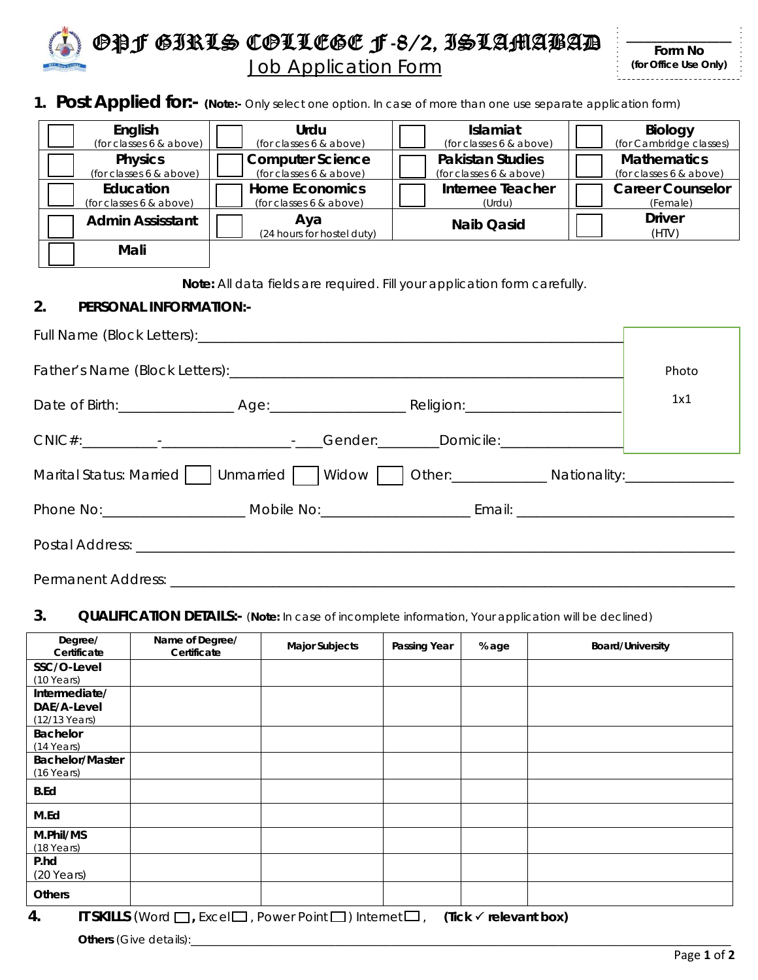

OPF GIRLS COLLEGE F-8/2, ISLAMABAD **Job Application Form** 

| Form No               |
|-----------------------|
| (for Office Use Only) |

**1. Post Applied for:- (Note:-** Only select one option. In case of more than one use separate application form)

| English                 | Urdu                              | <b>Islamiat</b>         | <b>Biology</b>          |
|-------------------------|-----------------------------------|-------------------------|-------------------------|
| (for classes 6 & above) | (for classes 6 & above)           | (for classes 6 & above) | (for Cambridge classes) |
| <b>Physics</b>          | <b>Computer Science</b>           | <b>Pakistan Studies</b> | <b>Mathematics</b>      |
| (for classes 6 & above) | (for classes 6 & above)           | (for classes 6 & above) | (for classes 6 & above) |
| Education               | <b>Home Economics</b>             | <b>Internee Teacher</b> | <b>Career Counselor</b> |
| (for classes 6 & above) | (for classes 6 & above)           | (Urdu)                  | (Female)                |
| <b>Admin Assisstant</b> | Aya<br>(24 hours for hostel duty) | <b>Naib Qasid</b>       | <b>Driver</b><br>(HTV)  |
| Mali                    |                                   |                         |                         |

**Note:** All data fields are required. Fill your application form carefully.

#### **2. PERSONAL INFORMATION:-**

|                                                                                   |  | Photo |
|-----------------------------------------------------------------------------------|--|-------|
|                                                                                   |  | 1x1   |
|                                                                                   |  |       |
| Marital Status: Married   Unmarried   Widow   Other: ____________________________ |  |       |
|                                                                                   |  |       |
|                                                                                   |  |       |
|                                                                                   |  |       |

#### **3. QUALIFICATION DETAILS:-** (**Note:** In case of incomplete information, Your application will be declined)

| Degree/<br>Certificate                        | Name of Degree/<br>Certificate                                                        | <b>Major Subjects</b> | Passing Year | % age                            | <b>Board/University</b> |
|-----------------------------------------------|---------------------------------------------------------------------------------------|-----------------------|--------------|----------------------------------|-------------------------|
| SSC/O-Level<br>$(10$ Years)                   |                                                                                       |                       |              |                                  |                         |
| Intermediate/<br>DAE/A-Level<br>(12/13 Years) |                                                                                       |                       |              |                                  |                         |
| <b>Bachelor</b><br>$(14$ Years)               |                                                                                       |                       |              |                                  |                         |
| <b>Bachelor/Master</b><br>(16 Years)          |                                                                                       |                       |              |                                  |                         |
| <b>B.Ed</b>                                   |                                                                                       |                       |              |                                  |                         |
| M.Ed                                          |                                                                                       |                       |              |                                  |                         |
| M.Phil/MS<br>$(18$ Years)                     |                                                                                       |                       |              |                                  |                         |
| P.hd<br>$(20$ Years)                          |                                                                                       |                       |              |                                  |                         |
| <b>Others</b>                                 |                                                                                       |                       |              |                                  |                         |
| 4.                                            | <b>IT SKILLS</b> (Word $\Box$ , Excel $\Box$ , Power Point $\Box$ ) Internet $\Box$ , |                       |              | (Tick $\checkmark$ relevant box) |                         |